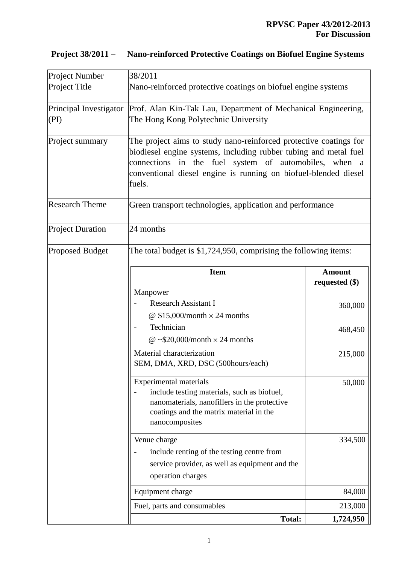| <b>Project Number</b>          | 38/2011                                                                                                                                                                                                                                                                     |                                   |  |
|--------------------------------|-----------------------------------------------------------------------------------------------------------------------------------------------------------------------------------------------------------------------------------------------------------------------------|-----------------------------------|--|
| Project Title                  | Nano-reinforced protective coatings on biofuel engine systems                                                                                                                                                                                                               |                                   |  |
| Principal Investigator<br>(PI) | Prof. Alan Kin-Tak Lau, Department of Mechanical Engineering,<br>The Hong Kong Polytechnic University                                                                                                                                                                       |                                   |  |
| Project summary                | The project aims to study nano-reinforced protective coatings for<br>biodiesel engine systems, including rubber tubing and metal fuel<br>connections in the fuel system of automobiles, when a<br>conventional diesel engine is running on biofuel-blended diesel<br>fuels. |                                   |  |
| <b>Research Theme</b>          | Green transport technologies, application and performance                                                                                                                                                                                                                   |                                   |  |
| <b>Project Duration</b>        | 24 months                                                                                                                                                                                                                                                                   |                                   |  |
| <b>Proposed Budget</b>         | The total budget is $$1,724,950$ , comprising the following items:                                                                                                                                                                                                          |                                   |  |
|                                | <b>Item</b>                                                                                                                                                                                                                                                                 | <b>Amount</b><br>requested $(\$)$ |  |
|                                | Manpower<br><b>Research Assistant I</b><br>@ $$15,000/month \times 24$ months                                                                                                                                                                                               | 360,000                           |  |
|                                | Technician<br>@ ~\$20,000/month $\times$ 24 months                                                                                                                                                                                                                          | 468,450                           |  |
|                                | Material characterization<br>SEM, DMA, XRD, DSC (500hours/each)                                                                                                                                                                                                             | 215,000                           |  |
|                                | <b>Experimental materials</b><br>include testing materials, such as biofuel,<br>nanomaterials, nanofillers in the protective<br>coatings and the matrix material in the<br>nanocomposites                                                                                   | 50,000                            |  |
|                                | Venue charge<br>include renting of the testing centre from<br>service provider, as well as equipment and the<br>operation charges                                                                                                                                           | 334,500                           |  |
|                                | Equipment charge                                                                                                                                                                                                                                                            | 84,000                            |  |
|                                | Fuel, parts and consumables                                                                                                                                                                                                                                                 | 213,000                           |  |
|                                | <b>Total:</b>                                                                                                                                                                                                                                                               | 1,724,950                         |  |

## **Project 38/2011 – Nano-reinforced Protective Coatings on Biofuel Engine Systems**